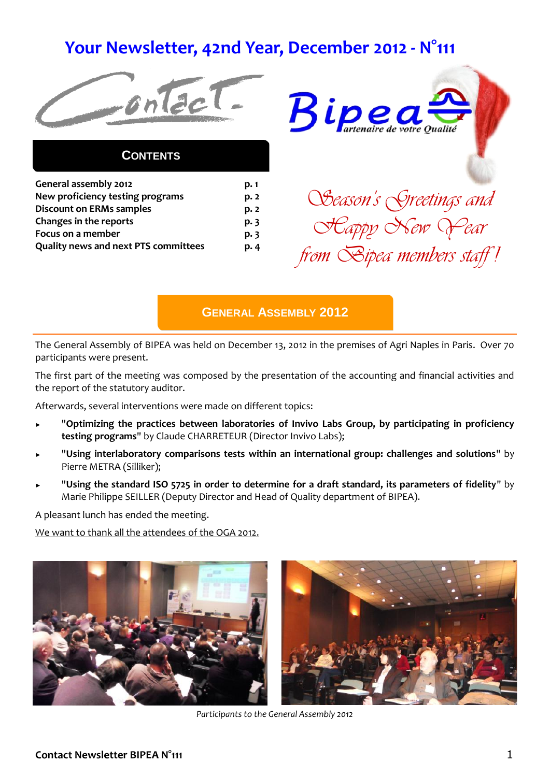# **Your Newsletter, 42nd Year, December 2012 - N°111**





# **CONTENTS**

| General assembly 2012                       | p.1 |
|---------------------------------------------|-----|
| New proficiency testing programs            | p.2 |
| <b>Discount on ERMs samples</b>             | p.2 |
| Changes in the reports                      | p.3 |
| Focus on a member                           | p.3 |
| <b>Quality news and next PTS committees</b> | p.4 |
|                                             |     |



# **GENERAL ASSEMBLY 2012**

The General Assembly of BIPEA was held on December 13, 2012 in the premises of Agri Naples in Paris. Over 70 participants were present.

The first part of the meeting was composed by the presentation of the accounting and financial activities and the report of the statutory auditor.

Afterwards, several interventions were made on different topics:

- ► "**Optimizing the practices between laboratories of Invivo Labs Group, by participating in proficiency testing programs**" by Claude CHARRETEUR (Director Invivo Labs);
- ► "**Using interlaboratory comparisons tests within an international group: challenges and solutions**" by Pierre METRA (Silliker);
- ► "**Using the standard ISO 5725 in order to determine for a draft standard, its parameters of fidelity**" by Marie Philippe SEILLER (Deputy Director and Head of Quality department of BIPEA).

A pleasant lunch has ended the meeting.

We want to thank all the attendees of the OGA 2012.



*Participants to the General Assembly 2012*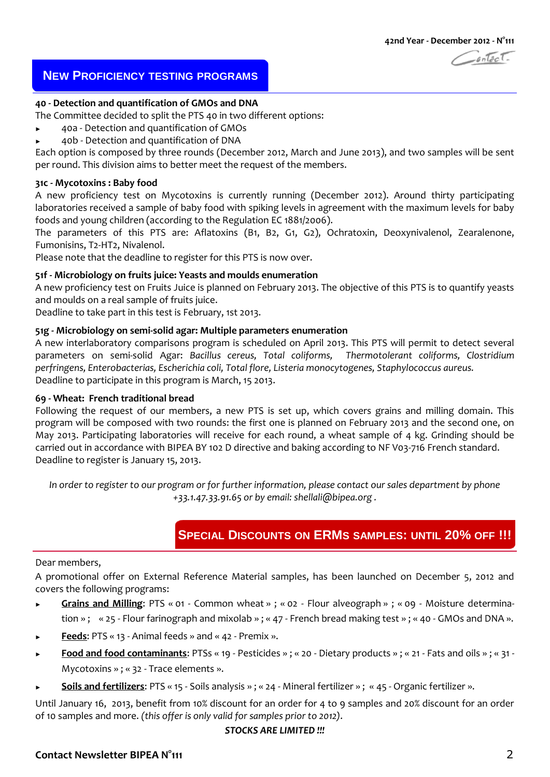

# **NEW PROFICIENCY TESTING PROGRAMS**

# **40 - Detection and quantification of GMOs and DNA**

The Committee decided to split the PTS 40 in two different options:

- ► 40a Detection and quantification of GMOs
- 40b Detection and quantification of DNA

Each option is composed by three rounds (December 2012, March and June 2013), and two samples will be sent per round. This division aims to better meet the request of the members.

# **31c - Mycotoxins : Baby food**

A new proficiency test on Mycotoxins is currently running (December 2012). Around thirty participating laboratories received a sample of baby food with spiking levels in agreement with the maximum levels for baby foods and young children (according to the Regulation EC 1881/2006).

The parameters of this PTS are: Aflatoxins (B1, B2, G1, G2), Ochratoxin, Deoxynivalenol, Zearalenone, Fumonisins, T2-HT2, Nivalenol.

Please note that the deadline to register for this PTS is now over.

# **51f - Microbiology on fruits juice: Yeasts and moulds enumeration**

A new proficiency test on Fruits Juice is planned on February 2013. The objective of this PTS is to quantify yeasts and moulds on a real sample of fruits juice.

Deadline to take part in this test is February, 1st 2013.

# **51g - Microbiology on semi-solid agar: Multiple parameters enumeration**

A new interlaboratory comparisons program is scheduled on April 2013. This PTS will permit to detect several parameters on semi-solid Agar: *Bacillus cereus, Total coliforms, Thermotolerant coliforms, Clostridium perfringens, Enterobacterias, Escherichia coli, Total flore, Listeria monocytogenes, Staphylococcus aureus.*  Deadline to participate in this program is March, 15 2013.

## **69 - Wheat: French traditional bread**

Following the request of our members, a new PTS is set up, which covers grains and milling domain. This program will be composed with two rounds: the first one is planned on February 2013 and the second one, on May 2013. Participating laboratories will receive for each round, a wheat sample of 4 kg. Grinding should be carried out in accordance with BIPEA BY 102 D directive and baking according to NF V03-716 French standard. Deadline to register is January 15, 2013.

*In order to register to our program or for further information, please contact our sales department by phone +33.1.47.33.91.65 or by email: shellali@bipea.org .*

# **SPECIAL DISCOUNTS ON ERMS SAMPLES: UNTIL 20% OFF !!!**

Dear members,

A promotional offer on External Reference Material samples, has been launched on December 5, 2012 and covers the following programs:

- Grains and Milling: PTS « 01 Common wheat » ; « 02 Flour alveograph » ; « 09 Moisture determination » ; « 25 - Flour farinograph and mixolab » ; « 47 - French bread making test » ; « 40 - GMOs and DNA ».
- ► **Feeds**: PTS « 13 Animal feeds » and « 42 Premix ».
- ► **Food and food contaminants**: PTSs « 19 Pesticides » ; « 20 Dietary products » ; « 21 Fats and oils » ; « 31 Mycotoxins » ; « 32 - Trace elements ».
- ► **Soils and fertilizers**: PTS « 15 Soils analysis » ; « 24 Mineral fertilizer » ; « 45 Organic fertilizer ».

Until January 16, 2013, benefit from 10% discount for an order for 4 to 9 samples and 20% discount for an order of 10 samples and more. *(this offer is only valid for samples prior to 2012)*.

#### *STOCKS ARE LIMITED !!!*

# **Contact Newsletter BIPEA N°111** 2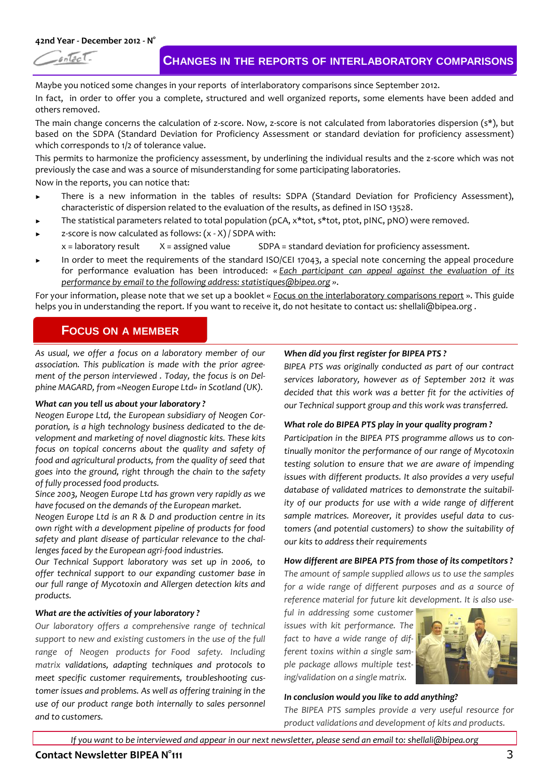$-$ entact-

Maybe you noticed some changes in your reports of interlaboratory comparisons since September 2012.

In fact, in order to offer you a complete, structured and well organized reports, some elements have been added and others removed.

The main change concerns the calculation of z-score. Now, z-score is not calculated from laboratories dispersion (s\*), but based on the SDPA (Standard Deviation for Proficiency Assessment or standard deviation for proficiency assessment) which corresponds to 1/2 of tolerance value.

This permits to harmonize the proficiency assessment, by underlining the individual results and the z-score which was not previously the case and was a source of misunderstanding for some participating laboratories.

Now in the reports, you can notice that:

- There is a new information in the tables of results: SDPA (Standard Deviation for Proficiency Assessment), characteristic of dispersion related to the evaluation of the results, as defined in ISO 13528.
- The statistical parameters related to total population (pCA, x\*tot, s\*tot, ptot, pINC, pNO) were removed.
- z-score is now calculated as follows:  $(x X) / SDPA$  with:
	- $x =$  laboratory result  $X =$  assigned value SDPA = standard deviation for proficiency assessment.
- In order to meet the requirements of the standard ISO/CEI 17043, a special note concerning the appeal procedure for performance evaluation has been introduced: *« Each participant can appeal against the evaluation of its performance by email to the following address: statistiques@bipea.org »*.

For your information, please note that we set up a booklet « Focus on the interlaboratory comparisons report ». This guide helps you in understanding the report. If you want to receive it, do not hesitate to contact us: shellali@bipea.org .

# **FOCUS ON A MEMBER**

*As usual, we offer a focus on a laboratory member of our association. This publication is made with the prior agreement of the person interviewed . Today, the focus is on Delphine MAGARD, from «Neogen Europe Ltd» in Scotland (UK).*

#### *What can you tell us about your laboratory ?*

*Neogen Europe Ltd, the European subsidiary of Neogen Corporation, is a high technology business dedicated to the development and marketing of novel diagnostic kits. These kits focus on topical concerns about the quality and safety of food and agricultural products, from the quality of seed that goes into the ground, right through the chain to the safety of fully processed food products.* 

*Since 2003, Neogen Europe Ltd has grown very rapidly as we have focused on the demands of the European market.* 

*Neogen Europe Ltd is an R & D and production centre in its own right with a development pipeline of products for food safety and plant disease of particular relevance to the challenges faced by the European agri-food industries.* 

*Our Technical Support laboratory was set up in 2006, to offer technical support to our expanding customer base in our full range of Mycotoxin and Allergen detection kits and products.* 

#### *What are the activities of your laboratory ?*

*Our laboratory offers a comprehensive range of technical support to new and existing customers in the use of the full range of Neogen products for Food safety. Including matrix validations, adapting techniques and protocols to meet specific customer requirements, troubleshooting customer issues and problems. As well as offering training in the use of our product range both internally to sales personnel and to customers.*

#### *When did you first register for BIPEA PTS ?*

*BIPEA PTS was originally conducted as part of our contract services laboratory, however as of September 2012 it was decided that this work was a better fit for the activities of our Technical support group and this work was transferred.* 

#### *What role do BIPEA PTS play in your quality program ?*

*Participation in the BIPEA PTS programme allows us to continually monitor the performance of our range of Mycotoxin testing solution to ensure that we are aware of impending issues with different products. It also provides a very useful database of validated matrices to demonstrate the suitability of our products for use with a wide range of different sample matrices. Moreover, it provides useful data to customers (and potential customers) to show the suitability of our kits to address their requirements* 

#### *How different are BIPEA PTS from those of its competitors ?*

*The amount of sample supplied allows us to use the samples for a wide range of different purposes and as a source of reference material for future kit development. It is also use-*

*ful in addressing some customer issues with kit performance. The fact to have a wide range of different toxins within a single sample package allows multiple testing/validation on a single matrix.* 



#### *In conclusion would you like to add anything?*

*The BIPEA PTS samples provide a very useful resource for product validations and development of kits and products.*